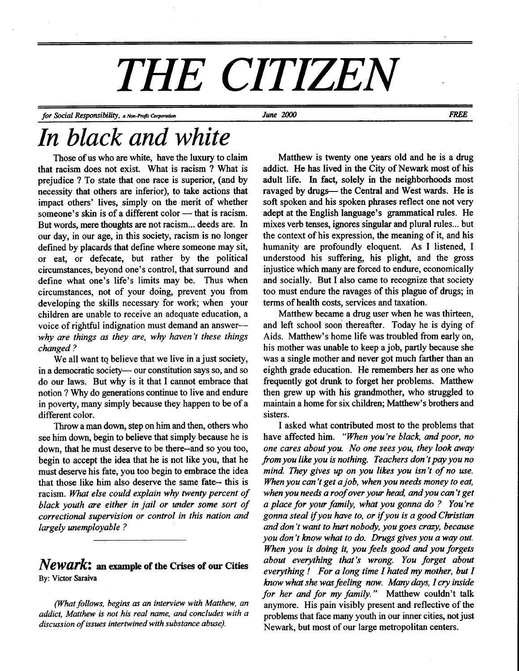# THE CITIZEN

for Social Responsibility, a Non-Profit Corporation **FREE** June 2000 June 2000

## In black and white

Those of us who are white, have the luxury to claim that racism does not exist. What is racism ? What is prejudice ? To state that one race is superior, (and by necessity that others are inferior), to take actions that impact others' lives, simply on the merit of whether someone's skin is of a different color  $-$  that is racism. But words, mere thoughts are not racism... deeds are. In our day, in our age, in this society, racism is no longer defined by placards that define where someone may sit, or eat, or defecate, but rather by the political circumstances, beyond one's control, that surround and define what one's life's limits may be. Thus when circumstances, not of your doing, prevent you from developing the skills necessary for work; when your children are unable to receive an adequate education, a voice of rightful indignation must demand an answerwhy are things as they are, why haven't these things changed ?

We all want to believe that we live in a just society, in a democratic society— our constitution says so, and so do our laws. But why is it that I cannot embrace that notion ? Why do generations continue to live and endure in poverty, many simply because they happen to be of a different color.

Throw a man down, step on him and then, others who see him down, begin to believe that simply because he is down, that he must deserve to be there-and so you too, begin to accept the idea that he is not like you, that he must deserve his fate, you too begin to embrace the idea that those like him also deserve the same fate- this is racism. What else could explain why twenty percent of black youth are either in jail or under some sort of correctional supervision or control in this nation and largely unemployable ?

#### $Newark:$  an example of the Crises of our Cities By: Victor Saraiva

(What follows, begins as an interview with Matthew, an addict, Matthew is not his real name, and concludes with a discussion of issues intertwined with substance abuse).

Matthew is twenty one years old and he is a drug addict. He has lived in the City of Newark most of his adult life. In fact, solely in the neighborhoods most ravaged by drugs- the Central and West wards. He is soft spoken and his spoken phrases reflect one not very adept at the English language's grammatical rules. He mixes verb tenses, ignores singular and plural rules... but the context of his expression, the meaning of it, and his humanity are profoundly eloquent. As I listened, I understood his suffering, his plight, and the gross injustice which many are forced to endure, economically and socially. But I also came to recognize that society too must endure the ravages of this plague of drugs; in terms of health costs, services and taxation.

Matthew became a drug user when he was thirteen, and left school soon thereafter. Today he is dying of Aids. Matthew's home life was troubled from early on, his mother was unable to keep a job, partly because she was a single mother and never got much farther than an eighth grade education. He remembers her as one who frequently got drunk to forget her problems. Matthew then grew up with his grandmother, who struggled to maintain a home for six children; Matthew's brothers and sisters.

I asked what contributed most to the problems that have affected him. "When you're black, and poor, no one cares about you. No one sees you, they lookaway from you like you is nothing. Teachers don't pay you no mind. They gives up on you likes you isn't of no use. When you can't get a job, when you needs money to eat, when you needs a roof over your head, and you can't get a place for your family, what you gonna do ? You're gonna steal if you have to, or if you is a good Christian and don't want to hurt nobody, you goes crazy, because you don't know what to do. Drugs gives you a way out. When you is doing it, you feels good and you forgets about everything that's wrong. You forget about everything ! For a long time I hated ny mother, but I know what she was feeling now. Many days, I cry inside for her and for my family." Matthew couldn't talk anymore. His pain visibly present and reflective of the problems that face many youth in our inner cities, not just Newark, but most of our large metropolitan centers.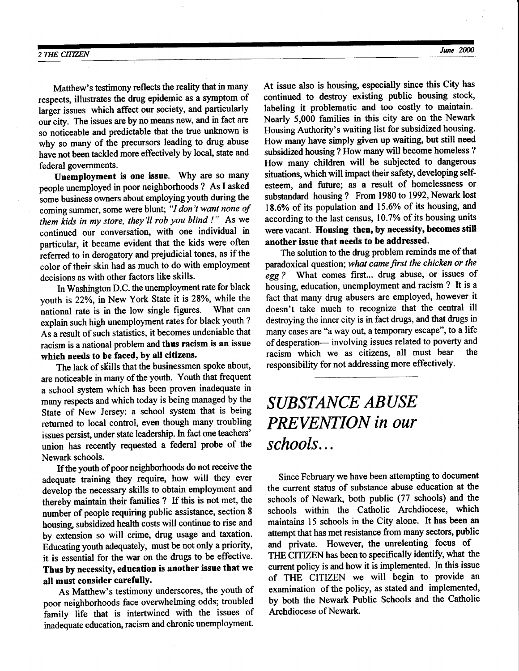Matthew's testimony reflects the reality that in many respects, illusfiates the drug epidemic as a symptom of larger issues which affect our society, and particularly our city. The issues are by no means new, and in fact are so noticeable and predictable that the true unknown is why so many of the precursors leading to drug abuse have not been tackled more effectively by local, state and federal governments.

Unemployment is one issue. Why are so many people unemployed in poor neighborhoods ? As I asked some business owners about employing youth during the coming summer, some were blunt; "I don't want none of them kids in my store, they'll rob you blind !" As we continued our conversation, with one individual in particular, it became evident that the kids were often referred to in derogatory and prejudicial tones, as if the color of their skin had as much to do with employment decisions as with other factors like skills.

In Washington D.C. the unemployment rate for black youth is 22%, in New York State it is 28%, while the national rate is in the low single figures. What can national rate is in the low single figures. explain such high unemployment rates for black youth ? As a result of such statistics, it becomes undeniable that racism is a national problem and thus racism is an issue which needs to be faced, by all citizens.

The lack of skills that the businessmen spoke about, are noticeable in many of the youth. Youth that frequent a school system which has been proven inadequate in many respects and which today is being managed by the State of New Jersey: a school system that is being returned to local control, even though many foubling issues persist, under state leadership. In fact one teachers' union has recently requested a federal probe of the Newark schools.

If the youth of poor neighborhoods do not receive the adequate training they require, how will they ever develop the necessary skills to obtain employment and thereby maintain their families ? If this is not met, the number of people requiring public assistance, section 8 housing, subsidized health costs will continue to rise and by extension so will crime, drug usage and taxation. Educating youth adequately, must be not only a priority, it is essential for the war on the drugs to be effective. Thus by necessity, education is another issue that we all must consider carefullY.

As Matthew's testimony underscores, the youth of poor neighborhoods face overwhelming odds; troubled family life that is intertwined with the issues of inadequate education, racism and chronic unemployment. At issue also is housing, especially since this City has continued to destroy existing public housing stock, labeling it problematic and too costly to maintain. Nearly 5,000 families in this city are on the Newark Housing Authority's waiting list for subsidized housing. How many have simply given up waiting, but still need subsidized housing ? How many will become homeless ? How many children will be subjected to dangerous situations, which will impact their safety, developing selfesteem, and future; as a result of homelessness or substandard housing ? From 1980 to 1992, Newark lost 18.6% of its population and 15.6% of its housing, and according to the last census, 10.7% of its housing units were vacant. Housing then, by necessity, becomes still another issue that needs to be addressed.

The solution to the drug problem reminds me of that paradoxical question; what came first the chicken or the egg ? What comes first... drug abuse, or issues of housing, education, unemployment and racism ? It is a fact that many drug abusers are employed, however it doesn't take much to recognize that the central ill destroying the inner city is in fact drugs, and that drugs in many cases are "a way out, a temporary escape", to a life of desperation- involving issues related to poverty and<br>racism which we as citizens, all must bear the racism which we as citizens, all must bear responsibility for not addressing more effectively.

### SUBSTANCE ABUSE PREVENTION in our schools...

Since February we have been attempting to document the current status of substance abuse education at the schools of Newark, both public (77 schools) and the schools within the Catholic Archdiocese, which maintains 15 schools in the City alone. It has been an attempt that has met resistance from many sectors, public and private. However, the unrelenting focus of THE CITIZEN has been to specifically identify, what the current policy is and how it is implemented. In this issue of THE CITIZEN we will begin to provide an examination of the policy, as stated and implemented, by both the Newark Public Schools and the Catholic Archdiocese of Newark.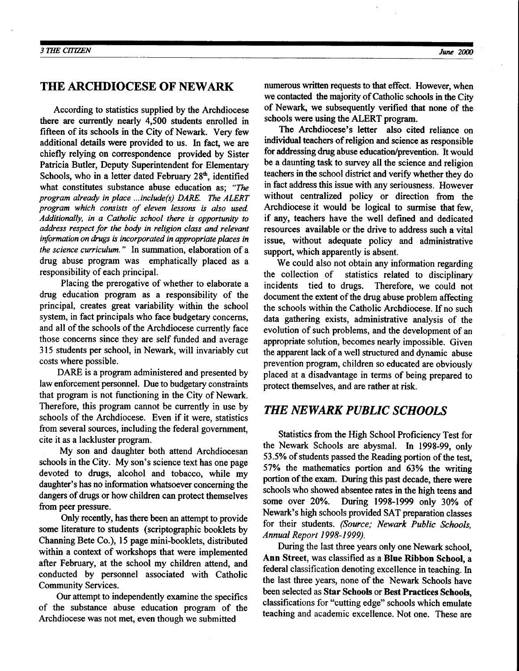#### THE ARCHDIOCESE OF NEWARK

According to statistics supplied by the Archdiocese there are currently nearly 4,500 students enrolled in fifteen of its schools in the City of Newark. Very few additional details were provided to us. In fact, we are chiefly relying on corespondence provided by Sister Patricia Butler, Deputy Superintendent for Elementary Schools, who in a letter dated February  $28<sup>th</sup>$ , identified what constitutes substance abuse education as; "The program already in place ...include(s) DARE. The ALERT program which consists of eleven lessons is also used. Additionally, in a Catholic school there is opportunity to address respect for the body in religion class and relevant information on drugs is incorporated in appropriate places in the science curriculum. " In summation, elaboration of a drug abuse program was emphatically placed as a responsibility of each principal.

Placing the prerogative of whether to elaborate a drug education program as a responsibility of the principal, creates great variability within the school system, in fact principals who face budgetary concerns, and all of the schools of the Archdiocese currently face those concerns since they are self funded and average 315 students per school, in Newark, will invariably cut costs where possible.

DARE is a program administered and presented by law enforcement personnel. Due to budgetary constraints that program is not functioning in the City of Newark. Therefore, this program cannot be currently in use by schools of the Archdiocese. Even if it were, statistics from several sources, including the federal government, cite it as a lackluster program.

My son and daughter both attend Archdiocesan schools in the City. My son's science text has one page devoted to drugs, alcohol and tobacco, while my daughter's has no information whatsoever concerning the dangers of drugs or how children can protect themselves from peer pressure.

Only recently, has there been an attempt to provide some literature to students (scriptographic booklets by Channing Bete Co.), 15 page mini-booklets, distributed within a context of workshops that were implemented after February, at the school my children attend, and conducted by personnel associated with Catholic Community Services.

Our attempt to independently examine the specifics of the substance abuse education program of the Archdiocese was not met, even though we submitted

numerous written requests to that effect. However, when we contacted the majority of Catholic schools in the City of Newark, we subsequently verified that none of the schools were using the ALERT program.

The Archdiocese's letter also cited reliance on individual teachers of religion and science as responsible for addressing drug abuse education/prevention. It would be a daunting task to survey all the science and religion teachers in the school district and verify whether they do in fact address this issue with any seriousness. However without centralized policy or direction from the Archdiocese it would be logical to surmise that few, if any, teachers have the well defined and dedicated resources available or the drive to address such a vital issue, without adequate policy and administrative support, which apparently is absent.

We could also not obtain any information regarding the collection of statistics related to disciplinary incidents tied to drugs. Therefore, we could not document the extent of the drug abuse problem affecting the schools within the Catholic Archdiocese. If no such data gathering exists, administrative analysis of the evolution of such problems, and the development of an appropriate solution, becomes nearly impossible. Given the apparent lack of a well structured and dynamic abuse prevention program, children so educated are obviously placed at a disadvantage in terms of being prepared to protect themselves, and are rather at risk.

#### THE NEWARK PUBLIC SCHOOLS

Statistics from the High School Proficiency Test for the Newark Schools are abysmal. In 1998-99, only 53.5% of students passed the Reading portion of the test, 57% the mathematics portion and  $63\%$  the writing portion of the exam. During this past decade, there were schools who showed absentee rates in the high teens and some over 20%. During 1998-1999 only 30% of Newark's high schools provided SAT preparation classes for their students. (Source; Newark Public Schools, Annual Report I 998- I999).

During the last three years only one Newark school, Ann Street, was classified as a Blue Ribbon School, a federal classification denoting excellence in teaching. In the last three years, none of the Newark Schools have been selected as Star Schools or Best Practices Schools, classifications for "cutting edge" schools which emulate teaching and academic excellence. Not one. These are